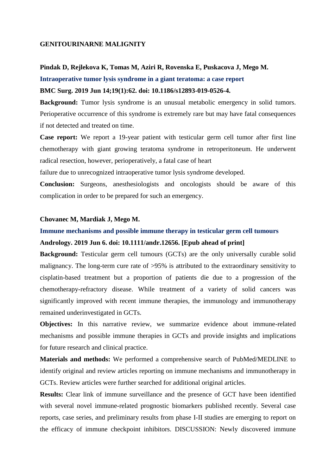#### **GENITOURINARNE MALIGNITY**

#### **Pindak D, Rejlekova K, Tomas M, Aziri R, Rovenska E, Puskacova J, Mego M.**

**Intraoperative tumor lysis syndrome in a giant teratoma: a case report**

#### **BMC Surg. 2019 Jun 14;19(1):62. doi: 10.1186/s12893-019-0526-4.**

**Background:** Tumor lysis syndrome is an unusual metabolic emergency in solid tumors. Perioperative occurrence of this syndrome is extremely rare but may have fatal consequences if not detected and treated on time.

**Case report:** We report a 19-year patient with testicular germ cell tumor after first line chemotherapy with giant growing teratoma syndrome in retroperitoneum. He underwent radical resection, however, perioperatively, a fatal case of heart

failure due to unrecognized intraoperative tumor lysis syndrome developed.

**Conclusion:** Surgeons, anesthesiologists and oncologists should be aware of this complication in order to be prepared for such an emergency.

### **Chovanec M, Mardiak J, Mego M.**

# **Immune mechanisms and possible immune therapy in testicular germ cell tumours Andrology. 2019 Jun 6. doi: 10.1111/andr.12656. [Epub ahead of print]**

**Background:** Testicular germ cell tumours (GCTs) are the only universally curable solid malignancy. The long-term cure rate of >95% is attributed to the extraordinary sensitivity to cisplatin-based treatment but a proportion of patients die due to a progression of the chemotherapy-refractory disease. While treatment of a variety of solid cancers was significantly improved with recent immune therapies, the immunology and immunotherapy remained underinvestigated in GCTs.

**Objectives:** In this narrative review, we summarize evidence about immune-related mechanisms and possible immune therapies in GCTs and provide insights and implications for future research and clinical practice.

**Materials and methods:** We performed a comprehensive search of PubMed/MEDLINE to identify original and review articles reporting on immune mechanisms and immunotherapy in GCTs. Review articles were further searched for additional original articles.

**Results:** Clear link of immune surveillance and the presence of GCT have been identified with several novel immune-related prognostic biomarkers published recently. Several case reports, case series, and preliminary results from phase I-II studies are emerging to report on the efficacy of immune checkpoint inhibitors. DISCUSSION: Newly discovered immune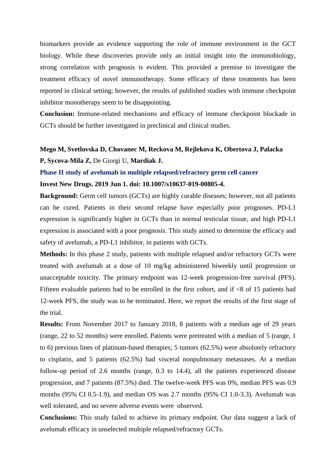biomarkers provide an evidence supporting the role of immune environment in the GCT biology. While these discoveries provide only an initial insight into the immunobiology, strong correlation with prognosis is evident. This provided a premise to investigate the treatment efficacy of novel immunotherapy. Some efficacy of these treatments has been reported in clinical setting; however, the results of published studies with immune checkpoint inhibitor monotherapy seem to be disappointing.

**Conclusion:** Immune-related mechanisms and efficacy of immune checkpoint blockade in GCTs should be further investigated in preclinical and clinical studies.

# **Mego M, Svetlovska D, Chovanec M, Reckova M, Rejlekova K, Obertova J, Palacka P, Sycova-Mila Z,** De Giorgi U, **Mardiak J.**

#### **Phase II study of avelumab in multiple relapsed/refractory germ cell cancer**

### **Invest New Drugs. 2019 Jun 1. doi: 10.1007/s10637-019-00805-4.**

**Background:** Germ cell tumors (GCTs) are highly curable diseases; however, not all patients can be cured. Patients in their second relapse have especially poor prognoses. PD-L1 expression is significantly higher in GCTs than in normal testicular tissue, and high PD-L1 expression is associated with a poor prognosis. This study aimed to determine the efficacy and safety of avelumab, a PD-L1 inhibitor, in patients with GCTs.

**Methods:** In this phase 2 study, patients with multiple relapsed and/or refractory GCTs were treated with avelumab at a dose of 10 mg/kg administered biweekly until progression or unacceptable toxicity. The primary endpoint was 12-week progression-free survival (PFS). Fifteen evaluable patients had to be enrolled in the first cohort, and if <8 of 15 patients had 12-week PFS, the study was to be terminated. Here, we report the results of the first stage of the trial.

**Results:** From November 2017 to January 2018, 8 patients with a median age of 29 years (range, 22 to 52 months) were enrolled. Patients were pretreated with a median of 5 (range, 1 to 6) previous lines of platinum-based therapies; 5 tumors (62.5%) were absolutely refractory to cisplatin, and 5 patients (62.5%) had visceral nonpulmonary metastases. At a median follow-up period of 2.6 months (range, 0.3 to 14.4), all the patients experienced disease progression, and 7 patients (87.5%) died. The twelve-week PFS was 0%, median PFS was 0.9 months (95% CI 0.5-1.9), and median OS was 2.7 months (95% CI 1.0-3.3). Avelumab was well tolerated, and no severe adverse events were observed.

**Conclusions:** This study failed to achieve its primary endpoint. Our data suggest a lack of avelumab efficacy in unselected multiple relapsed/refractory GCTs.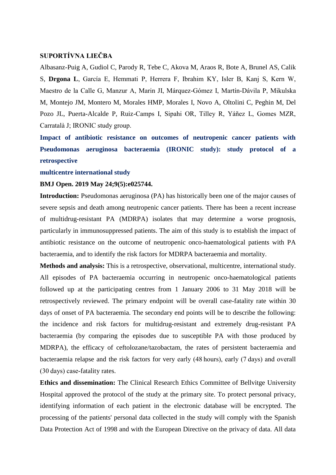## **SUPORTÍVNA LIEČBA**

Albasanz-Puig A, Gudiol C, Parody R, Tebe C, Akova M, Araos R, Bote A, Brunel AS, Calik S, **Drgona L**, García E, Hemmati P, Herrera F, Ibrahim KY, Isler B, Kanj S, Kern W, Maestro de la Calle G, Manzur A, Marin JI, Márquez-Gómez I, Martín-Dávila P, Mikulska M, Montejo JM, Montero M, Morales HMP, Morales I, Novo A, Oltolini C, Peghin M, Del Pozo JL, Puerta-Alcalde P, Ruiz-Camps I, Sipahi OR, Tilley R, Yáñez L, Gomes MZR, Carratalà J; IRONIC study group.

**Impact of antibiotic resistance on outcomes of neutropenic cancer patients with Pseudomonas aeruginosa bacteraemia (IRONIC study): study protocol of a retrospective**

#### **multicentre international study**

#### **BMJ Open. 2019 May 24;9(5):e025744.**

**Introduction:** Pseudomonas aeruginosa (PA) has historically been one of the major causes of severe sepsis and death among neutropenic cancer patients. There has been a recent increase of multidrug-resistant PA (MDRPA) isolates that may determine a worse prognosis, particularly in immunosuppressed patients. The aim of this study is to establish the impact of antibiotic resistance on the outcome of neutropenic onco-haematological patients with PA bacteraemia, and to identify the risk factors for MDRPA bacteraemia and mortality.

**Methods and analysis:** This is a retrospective, observational, multicentre, international study. All episodes of PA bacteraemia occurring in neutropenic onco-haematological patients followed up at the participating centres from 1 January 2006 to 31 May 2018 will be retrospectively reviewed. The primary endpoint will be overall case-fatality rate within 30 days of onset of PA bacteraemia. The secondary end points will be to describe the following: the incidence and risk factors for multidrug-resistant and extremely drug-resistant PA bacteraemia (by comparing the episodes due to susceptible PA with those produced by MDRPA), the efficacy of ceftolozane/tazobactam, the rates of persistent bacteraemia and bacteraemia relapse and the risk factors for very early (48 hours), early (7 days) and overall (30 days) case-fatality rates.

**Ethics and dissemination:** The Clinical Research Ethics Committee of Bellvitge University Hospital approved the protocol of the study at the primary site. To protect personal privacy, identifying information of each patient in the electronic database will be encrypted. The processing of the patients' personal data collected in the study will comply with the Spanish Data Protection Act of 1998 and with the European Directive on the privacy of data. All data